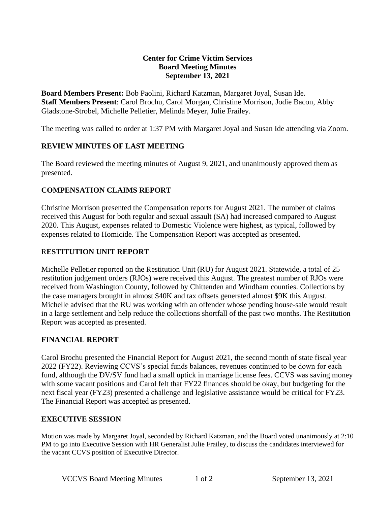### **Center for Crime Victim Services Board Meeting Minutes September 13, 2021**

**Board Members Present:** Bob Paolini, Richard Katzman, Margaret Joyal, Susan Ide. **Staff Members Present**: Carol Brochu, Carol Morgan, Christine Morrison, Jodie Bacon, Abby Gladstone-Strobel, Michelle Pelletier, Melinda Meyer, Julie Frailey.

The meeting was called to order at 1:37 PM with Margaret Joyal and Susan Ide attending via Zoom.

## **REVIEW MINUTES OF LAST MEETING**

The Board reviewed the meeting minutes of August 9, 2021, and unanimously approved them as presented.

### **COMPENSATION CLAIMS REPORT**

Christine Morrison presented the Compensation reports for August 2021. The number of claims received this August for both regular and sexual assault (SA) had increased compared to August 2020. This August, expenses related to Domestic Violence were highest, as typical, followed by expenses related to Homicide. The Compensation Report was accepted as presented.

#### R**ESTITUTION UNIT REPORT**

Michelle Pelletier reported on the Restitution Unit (RU) for August 2021. Statewide, a total of 25 restitution judgement orders (RJOs) were received this August. The greatest number of RJOs were received from Washington County, followed by Chittenden and Windham counties. Collections by the case managers brought in almost \$40K and tax offsets generated almost \$9K this August. Michelle advised that the RU was working with an offender whose pending house-sale would result in a large settlement and help reduce the collections shortfall of the past two months. The Restitution Report was accepted as presented.

#### **FINANCIAL REPORT**

Carol Brochu presented the Financial Report for August 2021, the second month of state fiscal year 2022 (FY22). Reviewing CCVS's special funds balances, revenues continued to be down for each fund, although the DV/SV fund had a small uptick in marriage license fees. CCVS was saving money with some vacant positions and Carol felt that FY22 finances should be okay, but budgeting for the next fiscal year (FY23) presented a challenge and legislative assistance would be critical for FY23. The Financial Report was accepted as presented.

## **EXECUTIVE SESSION**

Motion was made by Margaret Joyal, seconded by Richard Katzman, and the Board voted unanimously at 2:10 PM to go into Executive Session with HR Generalist Julie Frailey, to discuss the candidates interviewed for the vacant CCVS position of Executive Director.